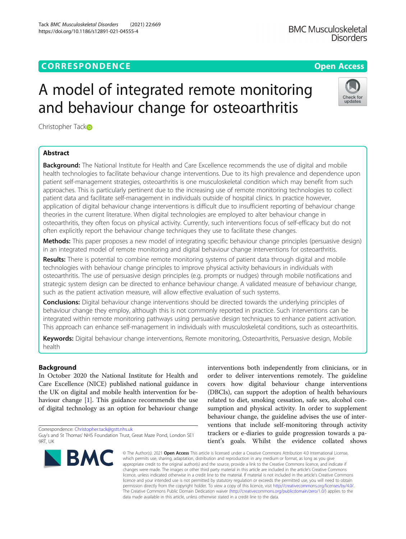# **CORRESPONDENCE CORRESPONDENCE** *CORRESPONDENCE*

# A model of integrated remote monitoring and behaviour change for osteoarthritis

Christopher Tack<sup>®</sup>

# Abstract

**Background:** The National Institute for Health and Care Excellence recommends the use of digital and mobile health technologies to facilitate behaviour change interventions. Due to its high prevalence and dependence upon patient self-management strategies, osteoarthritis is one musculoskeletal condition which may benefit from such approaches. This is particularly pertinent due to the increasing use of remote monitoring technologies to collect patient data and facilitate self-management in individuals outside of hospital clinics. In practice however, application of digital behaviour change interventions is difficult due to insufficient reporting of behaviour change theories in the current literature. When digital technologies are employed to alter behaviour change in osteoarthritis, they often focus on physical activity. Currently, such interventions focus of self-efficacy but do not often explicitly report the behaviour change techniques they use to facilitate these changes.

Methods: This paper proposes a new model of integrating specific behaviour change principles (persuasive design) in an integrated model of remote monitoring and digital behaviour change interventions for osteoarthritis.

Results: There is potential to combine remote monitoring systems of patient data through digital and mobile technologies with behaviour change principles to improve physical activity behaviours in individuals with osteoarthritis. The use of persuasive design principles (e.g. prompts or nudges) through mobile notifications and strategic system design can be directed to enhance behaviour change. A validated measure of behaviour change, such as the patient activation measure, will allow effective evaluation of such systems.

**Conclusions:** Digital behaviour change interventions should be directed towards the underlying principles of behaviour change they employ, although this is not commonly reported in practice. Such interventions can be integrated within remote monitoring pathways using persuasive design techniques to enhance patient activation. This approach can enhance self-management in individuals with musculoskeletal conditions, such as osteoarthritis.

Keywords: Digital behaviour change interventions, Remote monitoring, Osteoarthritis, Persuasive design, Mobile health

# Background

In October 2020 the National Institute for Health and Care Excellence (NICE) published national guidance in the UK on digital and mobile health intervention for behaviour change [\[1](#page-5-0)]. This guidance recommends the use of digital technology as an option for behaviour change

Correspondence: [Christopher.tack@gstt.nhs.uk](mailto:Christopher.tack@gstt.nhs.uk) 9RT, UK

interventions both independently from clinicians, or in order to deliver interventions remotely. The guideline covers how digital behaviour change interventions (DBCIs), can support the adoption of health behaviours related to diet, smoking cessation, safe sex, alcohol consumption and physical activity. In order to supplement behaviour change, the guideline advises the use of interventions that include self-monitoring through activity trackers or e-diaries to guide progression towards a patient's goals. Whilst the evidence collated shows

© The Author(s). 2021 Open Access This article is licensed under a Creative Commons Attribution 4.0 International License, which permits use, sharing, adaptation, distribution and reproduction in any medium or format, as long as you give appropriate credit to the original author(s) and the source, provide a link to the Creative Commons licence, and indicate if changes were made. The images or other third party material in this article are included in the article's Creative Commons licence, unless indicated otherwise in a credit line to the material. If material is not included in the article's Creative Commons licence and your intended use is not permitted by statutory regulation or exceeds the permitted use, you will need to obtain permission directly from the copyright holder. To view a copy of this licence, visit [http://creativecommons.org/licenses/by/4.0/.](http://creativecommons.org/licenses/by/4.0/) The Creative Commons Public Domain Dedication waiver [\(http://creativecommons.org/publicdomain/zero/1.0/](http://creativecommons.org/publicdomain/zero/1.0/)) applies to the data made available in this article, unless otherwise stated in a credit line to the data.

Guy's and St Thomas' NHS Foundation Trust, Great Maze Pond, London SE1

**BMC** 





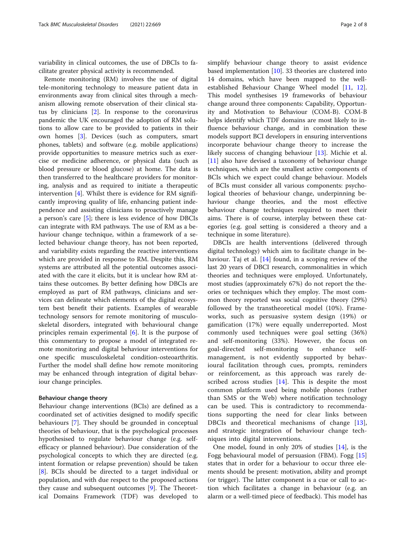variability in clinical outcomes, the use of DBCIs to facilitate greater physical activity is recommended.

Remote monitoring (RM) involves the use of digital tele-monitoring technology to measure patient data in environments away from clinical sites through a mechanism allowing remote observation of their clinical status by clinicians [\[2](#page-5-0)]. In response to the coronavirus pandemic the UK encouraged the adoption of RM solutions to allow care to be provided to patients in their own homes [\[3](#page-5-0)]. Devices (such as computers, smart phones, tablets) and software (e.g. mobile applications) provide opportunities to measure metrics such as exercise or medicine adherence, or physical data (such as blood pressure or blood glucose) at home. The data is then transferred to the healthcare providers for monitoring, analysis and as required to initiate a therapeutic intervention [[4\]](#page-5-0). Whilst there is evidence for RM significantly improving quality of life, enhancing patient independence and assisting clinicians to proactively manage a person's care [[5](#page-5-0)]; there is less evidence of how DBCIs can integrate with RM pathways. The use of RM as a behaviour change technique, within a framework of a selected behaviour change theory, has not been reported, and variability exists regarding the reactive interventions which are provided in response to RM. Despite this, RM systems are attributed all the potential outcomes associated with the care it elicits, but it is unclear how RM attains these outcomes. By better defining how DBCIs are employed as part of RM pathways, clinicians and services can delineate which elements of the digital ecosystem best benefit their patients. Examples of wearable technology sensors for remote monitoring of musculoskeletal disorders, integrated with behavioural change principles remain experimental [[6\]](#page-5-0). It is the purpose of this commentary to propose a model of integrated remote monitoring and digital behaviour interventions for one specific musculoskeletal condition-osteoarthritis. Further the model shall define how remote monitoring may be enhanced through integration of digital behaviour change principles.

#### Behaviour change theory

Behaviour change interventions (BCIs) are defined as a coordinated set of activities designed to modify specific behaviours [[7\]](#page-5-0). They should be grounded in conceptual theories of behaviour, that is the psychological processes hypothesised to regulate behaviour change (e.g. selfefficacy or planned behaviour). Due consideration of the psychological concepts to which they are directed (e.g. intent formation or relapse prevention) should be taken [[8\]](#page-5-0). BCIs should be directed to a target individual or population, and with due respect to the proposed actions they cause and subsequent outcomes [[9\]](#page-5-0). The Theoretical Domains Framework (TDF) was developed to simplify behaviour change theory to assist evidence based implementation [\[10](#page-5-0)]. 33 theories are clustered into 14 domains, which have been mapped to the wellestablished Behaviour Change Wheel model [[11](#page-5-0), [12](#page-5-0)]. This model synthesises 19 frameworks of behaviour change around three components: Capability, Opportunity and Motivation to Behaviour (COM-B). COM-B helps identify which TDF domains are most likely to influence behaviour change, and in combination these models support BCI developers in ensuring interventions incorporate behaviour change theory to increase the likely success of changing behaviour [[13](#page-5-0)]. Michie et al. [[11\]](#page-5-0) also have devised a taxonomy of behaviour change techniques, which are the smallest active components of BCIs which we expect could change behaviour. Models of BCIs must consider all various components: psychological theories of behaviour change, underpinning behaviour change theories, and the most effective behaviour change techniques required to meet their aims. There is of course, interplay between these categories (e.g. goal setting is considered a theory and a technique in some literature).

DBCIs are health interventions (delivered through digital technology) which aim to facilitate change in behaviour. Taj et al. [[14\]](#page-5-0) found, in a scoping review of the last 20 years of DBCI research, commonalities in which theories and techniques were employed. Unfortunately, most studies (approximately 67%) do not report the theories or techniques which they employ. The most common theory reported was social cognitive theory (29%) followed by the transtheoretical model (10%). Frameworks, such as persuasive system design (19%) or gamification (17%) were equally underreported. Most commonly used techniques were goal setting (36%) and self-monitoring (33%). However, the focus on goal-directed self-monitoring to enhance selfmanagement, is not evidently supported by behavioural facilitation through cues, prompts, reminders or reinforcement, as this approach was rarely de-scribed across studies [\[14](#page-5-0)]. This is despite the most common platform used being mobile phones (rather than SMS or the Web) where notification technology can be used. This is contradictory to recommendations supporting the need for clear links between DBCIs and theoretical mechanisms of change [\[13](#page-5-0)], and strategic integration of behaviour change techniques into digital interventions.

One model, found in only 20% of studies [[14\]](#page-5-0), is the Fogg behavioural model of persuasion (FBM). Fogg [[15](#page-6-0)] states that in order for a behaviour to occur three elements should be present: motivation, ability and prompt (or trigger). The latter component is a cue or call to action which facilitates a change in behaviour (e.g. an alarm or a well-timed piece of feedback). This model has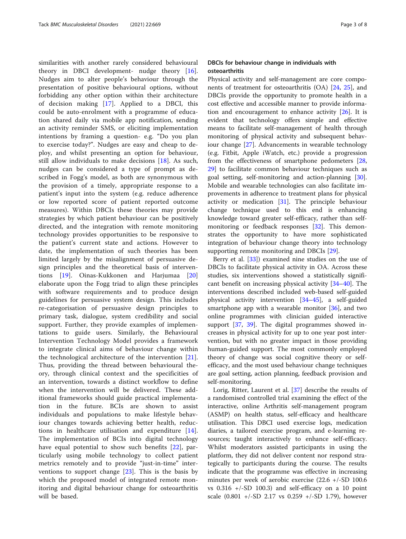similarities with another rarely considered behavioural theory in DBCI development- nudge theory [\[16](#page-6-0)]. Nudges aim to alter people's behaviour through the presentation of positive behavioural options, without forbidding any other option within their architecture of decision making [[17\]](#page-6-0). Applied to a DBCI, this could be auto-enrolment with a programme of education shared daily via mobile app notification, sending an activity reminder SMS, or eliciting implementation intentions by framing a question- e.g. "Do you plan to exercise today?". Nudges are easy and cheap to deploy, and whilst presenting an option for behaviour, still allow individuals to make decisions [[18\]](#page-6-0). As such, nudges can be considered a type of prompt as described in Fogg's model, as both are synonymous with the provision of a timely, appropriate response to a patient's input into the system (e.g. reduce adherence or low reported score of patient reported outcome measures). Within DBCIs these theories may provide strategies by which patient behaviour can be positively directed, and the integration with remote monitoring technology provides opportunities to be responsive to the patient's current state and actions. However to date, the implementation of such theories has been limited largely by the misalignment of persuasive design principles and the theoretical basis of interventions [[19\]](#page-6-0). Oinas-Kukkonen and Harjumaa [\[20](#page-6-0)] elaborate upon the Fogg triad to align these principles with software requirements and to produce design guidelines for persuasive system design. This includes re-categorisation of persuasive design principles to primary task, dialogue, system credibility and social support. Further, they provide examples of implementations to guide users. Similarly, the Behavioural Intervention Technology Model provides a framework to integrate clinical aims of behaviour change within the technological architecture of the intervention [\[21](#page-6-0)]. Thus, providing the thread between behavioural theory, through clinical context and the specificities of an intervention, towards a distinct workflow to define when the intervention will be delivered. These additional frameworks should guide practical implementation in the future. BCIs are shown to assist individuals and populations to make lifestyle behaviour changes towards achieving better health, reductions in healthcare utilisation and expenditure [\[14](#page-5-0)]. The implementation of BCIs into digital technology have equal potential to show such benefits [[22](#page-6-0)], particularly using mobile technology to collect patient metrics remotely and to provide "just-in-time" interventions to support change [[23\]](#page-6-0). This is the basis by which the proposed model of integrated remote monitoring and digital behaviour change for osteoarthritis will be based.

# DBCIs for behaviour change in individuals with osteoarthritis

Physical activity and self-management are core components of treatment for osteoarthritis (OA) [\[24](#page-6-0), [25](#page-6-0)], and DBCIs provide the opportunity to promote health in a cost effective and accessible manner to provide information and encouragement to enhance activity [\[26](#page-6-0)]. It is evident that technology offers simple and effective means to facilitate self-management of health through monitoring of physical activity and subsequent behaviour change [\[27](#page-6-0)]. Advancements in wearable technology (e.g. Fitbit, Apple iWatch, etc.) provide a progression from the effectiveness of smartphone pedometers [[28](#page-6-0), [29\]](#page-6-0) to facilitate common behaviour techniques such as goal setting, self-monitoring and action-planning [\[30](#page-6-0)]. Mobile and wearable technologies can also facilitate improvements in adherence to treatment plans for physical activity or medication [\[31\]](#page-6-0). The principle behaviour change technique used to this end is enhancing knowledge toward greater self-efficacy, rather than selfmonitoring or feedback responses [[32](#page-6-0)]. This demonstrates the opportunity to have more sophisticated integration of behaviour change theory into technology supporting remote monitoring and DBCIs [\[29](#page-6-0)].

Berry et al. [[33\]](#page-6-0)) examined nine studies on the use of DBCIs to facilitate physical activity in OA. Across these studies, six interventions showed a statistically significant benefit on increasing physical activity [[34](#page-6-0)–[40](#page-6-0)]. The interventions described included web-based self-guided physical activity intervention [[34](#page-6-0)–[45\]](#page-6-0), a self-guided smartphone app with a wearable monitor  $[36]$  $[36]$  $[36]$ , and two online programmes with clinician guided interactive support [[37,](#page-6-0) [39\]](#page-6-0). The digital programmes showed increases in physical activity for up to one year post intervention, but with no greater impact in those providing human-guided support. The most commonly employed theory of change was social cognitive theory or selfefficacy, and the most used behaviour change techniques are goal setting, action planning, feedback provision and self-monitoring.

Lorig, Ritter, Laurent et al. [[37](#page-6-0)] describe the results of a randomised controlled trial examining the effect of the interactive, online Arthritis self-management program (ASMP) on health status, self-efficacy and healthcare utilisation. This DBCI used exercise logs, medication diaries, a tailored exercise program, and e-learning resources; taught interactively to enhance self-efficacy. Whilst moderators assisted participants in using the platform, they did not deliver content nor respond strategically to participants during the course. The results indicate that the programme was effective in increasing minutes per week of aerobic exercise (22.6 +/-SD 100.6 vs  $0.316$  +/-SD 100.3) and self-efficacy on a 10 point scale (0.801 +/-SD 2.17 vs 0.259 +/-SD 1.79), however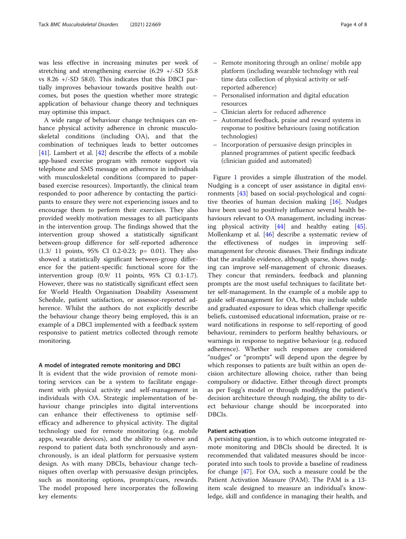was less effective in increasing minutes per week of stretching and strengthening exercise (6.29 +/-SD 55.8 vs 8.26 +/-SD 58.0). This indicates that this DBCI partially improves behaviour towards positive health outcomes, but poses the question whether more strategic application of behaviour change theory and techniques may optimise this impact.

A wide range of behaviour change techniques can enhance physical activity adherence in chronic musculoskeletal conditions (including OA), and that the combination of techniques leads to better outcomes [[41\]](#page-6-0). Lambert et al. [[42](#page-6-0)] describe the effects of a mobile app-based exercise program with remote support via telephone and SMS message on adherence in individuals with musculoskeletal conditions (compared to paperbased exercise resources). Importantly, the clinical team responded to poor adherence by contacting the participants to ensure they were not experiencing issues and to encourage them to perform their exercises. They also provided weekly motivation messages to all participants in the intervention group. The findings showed that the intervention group showed a statistically significant between-group difference for self-reported adherence (1.3/ 11 points, 95% CI 0.2-0.23; p= 0.01). They also showed a statistically significant between-group difference for the patient-specific functional score for the intervention group (0.9/ 11 points, 95% CI 0.1-1.7). However, there was no statistically significant effect seen for World Health Organisation Disability Assessment Schedule, patient satisfaction, or assessor-reported adherence. Whilst the authors do not explicitly describe the behaviour change theory being employed, this is an example of a DBCI implemented with a feedback system responsive to patient metrics collected through remote monitoring.

#### A model of integrated remote monitoring and DBCI

It is evident that the wide provision of remote monitoring services can be a system to facilitate engagement with physical activity and self-management in individuals with OA. Strategic implementation of behaviour change principles into digital interventions can enhance their effectiveness to optimise selfefficacy and adherence to physical activity. The digital technology used for remote monitoring (e.g. mobile apps, wearable devices), and the ability to observe and respond to patient data both synchronously and asynchronously, is an ideal platform for persuasive system design. As with many DBCIs, behaviour change techniques often overlap with persuasive design principles, such as monitoring options, prompts/cues, rewards. The model proposed here incorporates the following key elements:

- Remote monitoring through an online/ mobile app platform (including wearable technology with real time data collection of physical activity or selfreported adherence)
- Personalised information and digital education resources
- Clinician alerts for reduced adherence
- Automated feedback, praise and reward systems in response to positive behaviours (using notification technologies)
- Incorporation of persuasive design principles in planned programmes of patient specific feedback (clinician guided and automated)

Figure [1](#page-4-0) provides a simple illustration of the model. Nudging is a concept of user assistance in digital environments [[43\]](#page-6-0) based on social-psychological and cognitive theories of human decision making [\[16](#page-6-0)]. Nudges have been used to positively influence several health behaviours relevant to OA management, including increasing physical activity [\[44](#page-6-0)] and healthy eating [\[45](#page-6-0)]. Mollenkamp et al. [\[46](#page-6-0)] describe a systematic review of the effectiveness of nudges in improving selfmanagement for chronic diseases. Their findings indicate that the available evidence, although sparse, shows nudging can improve self-management of chronic diseases. They concur that reminders, feedback and planning prompts are the most useful techniques to facilitate better self-management. In the example of a mobile app to guide self-management for OA, this may include subtle and graduated exposure to ideas which challenge specific beliefs, customised educational information, praise or reward notifications in response to self-reporting of good behaviour, reminders to perform healthy behaviours, or warnings in response to negative behaviour (e.g. reduced adherence). Whether such responses are considered "nudges" or "prompts" will depend upon the degree by which responses to patients are built within an open decision architecture allowing choice, rather than being compulsory or didactive. Either through direct prompts as per Fogg's model or through modifying the patient's decision architecture through nudging, the ability to direct behaviour change should be incorporated into DBCIs.

### Patient activation

A persisting question, is to which outcome integrated remote monitoring and DBCIs should be directed. It is recommended that validated measures should be incorporated into such tools to provide a baseline of readiness for change [[47](#page-6-0)]. For OA, such a measure could be the Patient Activation Measure (PAM). The PAM is a 13 item scale designed to measure an individual's knowledge, skill and confidence in managing their health, and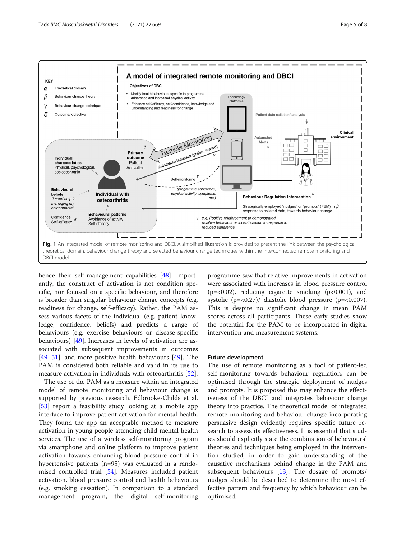<span id="page-4-0"></span>

hence their self-management capabilities [\[48\]](#page-6-0). Importantly, the construct of activation is not condition specific, nor focused on a specific behaviour, and therefore is broader than singular behaviour change concepts (e.g. readiness for change, self-efficacy). Rather, the PAM assess various facets of the individual (e.g. patient knowledge, confidence, beliefs) and predicts a range of behaviours (e.g. exercise behaviours or disease-specific behaviours) [[49\]](#page-6-0). Increases in levels of activation are associated with subsequent improvements in outcomes  $[49-51]$  $[49-51]$  $[49-51]$  $[49-51]$  $[49-51]$ , and more positive health behaviours  $[49]$ . The PAM is considered both reliable and valid in its use to measure activation in individuals with osteoarthritis [\[52\]](#page-6-0).

The use of the PAM as a measure within an integrated model of remote monitoring and behaviour change is supported by previous research. Edbrooke-Childs et al. [[53\]](#page-6-0) report a feasibility study looking at a mobile app interface to improve patient activation for mental health. They found the app an acceptable method to measure activation in young people attending child mental health services. The use of a wireless self-monitoring program via smartphone and online platform to improve patient activation towards enhancing blood pressure control in hypertensive patients (n=95) was evaluated in a randomised controlled trial [[54](#page-6-0)]. Measures included patient activation, blood pressure control and health behaviours (e.g. smoking cessation). In comparison to a standard management program, the digital self-monitoring programme saw that relative improvements in activation were associated with increases in blood pressure control  $(p=<0.02)$ , reducing cigarette smoking  $(p<0.001)$ , and systolic  $(p=<0.27)$ / diastolic blood pressure  $(p=<0.007)$ . This is despite no significant change in mean PAM scores across all participants. These early studies show the potential for the PAM to be incorporated in digital intervention and measurement systems.

#### Future development

The use of remote monitoring as a tool of patient-led self-monitoring towards behaviour regulation, can be optimised through the strategic deployment of nudges and prompts. It is proposed this may enhance the effectiveness of the DBCI and integrates behaviour change theory into practice. The theoretical model of integrated remote monitoring and behaviour change incorporating persuasive design evidently requires specific future research to assess its effectiveness. It is essential that studies should explicitly state the combination of behavioural theories and techniques being employed in the intervention studied, in order to gain understanding of the causative mechanisms behind change in the PAM and subsequent behaviours [[13\]](#page-5-0). The dosage of prompts/ nudges should be described to determine the most effective pattern and frequency by which behaviour can be optimised.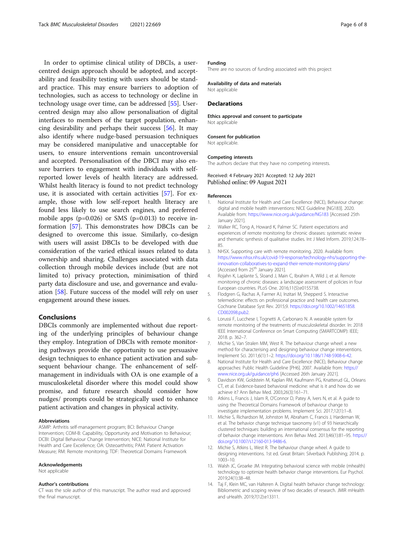<span id="page-5-0"></span>In order to optimise clinical utility of DBCIs, a usercentred design approach should be adopted, and acceptability and feasibility testing with users should be standard practice. This may ensure barriers to adoption of technologies, such as access to technology or decline in technology usage over time, can be addressed [[55\]](#page-6-0). Usercentred design may also allow personalisation of digital interfaces to members of the target population, enhancing desirability and perhaps their success [\[56](#page-6-0)]. It may also identify where nudge-based persuasion techniques may be considered manipulative and unacceptable for users, to ensure interventions remain uncontroversial and accepted. Personalisation of the DBCI may also ensure barriers to engagement with individuals with selfreported lower levels of health literacy are addressed. Whilst health literacy is found to not predict technology use, it is associated with certain activities [\[57\]](#page-7-0). For example, those with low self-report health literacy are found less likely to use search engines, and preferred mobile apps  $(p=0.026)$  or SMS  $(p=0.013)$  to receive information [\[57](#page-7-0)]. This demonstrates how DBCIs can be designed to overcome this issue. Similarly, co-design with users will assist DBCIs to be developed with due consideration of the varied ethical issues related to data ownership and sharing. Challenges associated with data collection through mobile devices include (but are not limited to) privacy protection, minimisation of third party data disclosure and use, and governance and evaluation [[58\]](#page-7-0). Future success of the model will rely on user engagement around these issues.

# Conclusions

DBCIs commonly are implemented without due reporting of the underlying principles of behaviour change they employ. Integration of DBCIs with remote monitoring pathways provide the opportunity to use persuasive design techniques to enhance patient activation and subsequent behaviour change. The enhancement of selfmanagement in individuals with OA is one example of a musculoskeletal disorder where this model could show promise, and future research should consider how nudges/ prompts could be strategically used to enhance patient activation and changes in physical activity.

#### Abbreviations

ASMP: Arthritis self-management program; BCI: Behaviour Change Intervention; COM-B: Capability, Opportunity and Motivation to Behaviour; DCBI: Digital Behaviour Change Intervention; NICE: National Institute for Health and Care Excellence; OA: Osteoarthritis; PAM: Patient Activation Measure; RM: Remote monitoring; TDF: Theoretical Domains Framework

#### Acknowledgements

Not applicable

#### Author's contributions

CT was the sole author of this manuscript. The author read and approved the final manuscript.

#### Funding

There are no sources of funding associated with this project

# Availability of data and materials

Not applicable

#### **Declarations**

#### Ethics approval and consent to participate Not applicable

# Consent for publication

Not applicable.

#### Competing interests

The authors declare that they have no competing interests.

#### Received: 4 February 2021 Accepted: 12 July 2021 Published online: 09 August 2021

#### References

- 1. National Institute for Health and Care Excellence (NICE), Behaviour change: digital and mobile health interventions: NICE Guideline [NG183]. 2020. Available from: <https://www.nice.org.uk/guidance/NG183> [Accessed 25th January 2021].
- 2. Walker RC, Tong A, Howard K, Palmer SC. Patient expectations and experiences of remote monitoring for chronic diseases: systematic review and thematic synthesis of qualitative studies. Int J Med Inform. 2019;124:78– 85.
- 3. NHSX. Supporting care with remote monitoring. 2020. Available from: [https://www.nhsx.nhs.uk/covid-19-response/technology-nhs/supporting-the](https://www.nhsx.nhs.uk/covid-19-response/technology-nhs/supporting-the-innovation-collaboratives-to-expand-their-remote-monitoring-plans/)[innovation-collaboratives-to-expand-their-remote-monitoring-plans/](https://www.nhsx.nhs.uk/covid-19-response/technology-nhs/supporting-the-innovation-collaboratives-to-expand-their-remote-monitoring-plans/) [Accessed from 25<sup>th</sup> January 2021].
- 4. Rojahn K, Laplante S, Sloand J, Main C, Ibrahim A, Wild J, et al. Remote monitoring of chronic diseases: a landscape assessment of policies in four European countries. PLoS One. 2016;11(5):e0155738.
- 5. Flodgren G, Rachas A, Farmer AJ, Inzitari M, Shepperd S. Interactive telemedicine: effects on professional practice and health care outcomes. Cochrane Database Syst Rev. 2015;9. [https://doi.org/10.1002/14651858.](https://doi.org/10.1002/14651858.CD002098.pub2) [CD002098.pub2.](https://doi.org/10.1002/14651858.CD002098.pub2)
- 6. Lorussi F, Lucchese I, Tognetti A, Carbonaro N. A wearable system for remote monitoring of the treatments of musculoskeletal disorder. In: 2018 IEEE International Conference on Smart Computing (SMARTCOMP): IEEE; 2018. p. 362–7.
- 7. Michie S, Van Stralen MM, West R. The behaviour change wheel: a new method for characterising and designing behaviour change interventions. Implement Sci. 2011;6(1):1–2. <https://doi.org/10.1186/1748-5908-6-42>.
- 8. National Institute for Health and Care Excellence (NICE), Behaviour change approaches: Public Health Guideline [PH6]. 2007. Available from: [https://](https://www.nice.org.uk/guidance/ph6) [www.nice.org.uk/guidance/ph6](https://www.nice.org.uk/guidance/ph6) [Accessed 26th January 2021].
- 9. Davidson KW, Goldstein M, Kaplan RM, Kaufmann PG, Knatterud GL, Orleans CT, et al. Evidence-based behavioral medicine: what is it and how do we achieve it? Ann Behav Med. 2003;26(3):161–71.
- 10. Atkins L, Francis J, Islam R, O'Connor D, Patey A, Ivers N, et al. A guide to using the Theoretical Domains Framework of behaviour change to investigate implementation problems. Implement Sci. 2017;12(1):1–8.
- 11. Michie S, Richardson M, Johnston M, Abraham C, Francis J, Hardeman W, et al. The behavior change technique taxonomy (v1) of 93 hierarchically clustered techniques: building an international consensus for the reporting of behavior change interventions. Ann Behav Med. 2013;46(1):81–95. [https://](https://doi.org/10.1007/s12160-013-9486-6) [doi.org/10.1007/s12160-013-9486-6.](https://doi.org/10.1007/s12160-013-9486-6)
- 12. Michie S, Atkins L, West R. The behaviour change wheel. A guide to designing interventions. 1st ed. Great Britain: Silverback Publishing; 2014. p. 1003–10.
- 13. Walsh JC, Groarke JM. Integrating behavioral science with mobile (mhealth) technology to optimize health behavior change interventions. Eur Psychol. 2019;24(1):38–48.
- 14. Taj F, Klein MC, van Halteren A. Digital health behavior change technology: Bibliometric and scoping review of two decades of research. JMIR mHealth and uHealth. 2019;7(12):e13311.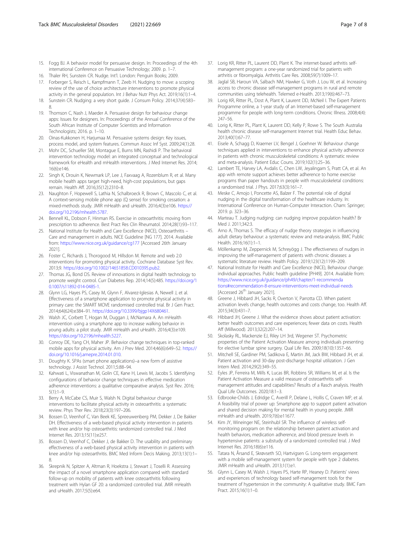- <span id="page-6-0"></span>15. Fogg BJ. A behavior model for persuasive design. In: Proceedings of the 4th international Conference on Persuasive Technology; 2009. p. 1–7.
- 16. Thaler RH, Sunstein CR. Nudge. Int'l. London: Penguin Books; 2009.
- 17. Forberger S, Reisch L, Kampfmann T, Zeeb H. Nudging to move: a scoping review of the use of choice architecture interventions to promote physical activity in the general population. Int J Behav Nutr Phys Act. 2019;16(1):1–4.
- 18. Sunstein CR. Nudging: a very short guide. J Consum Policy. 2014;37(4):583– 8.
- 19. Thomson C, Nash J, Maeder A. Persuasive design for behaviour change apps: Issues for designers. In: Proceedings of the Annual Conference of the South African Institute of Computer Scientists and Information Technologists; 2016. p. 1–10.
- 20. Oinas-Kukkonen H, Harjumaa M. Persuasive systems design: Key issues, process model, and system features. Commun Assoc Inf Syst. 2009;24(1):28.
- 21. Mohr DC, Schueller SM, Montague E, Burns MN, Rashidi P. The behavioral intervention technology model: an integrated conceptual and technological framework for eHealth and mHealth interventions. J Med Internet Res. 2014; 16(6):e146.
- 22. Singh K, Drouin K, Newmark LP, Lee J, Faxvaag A, Rozenblum R, et al. Many mobile health apps target high-need, high-cost populations, but gaps remain. Health Aff. 2016;35(12):2310–8.
- 23. Naughton F, Hopewell S, Lathia N, Schalbroeck R, Brown C, Mascolo C, et al. A context-sensing mobile phone app (Q sense) for smoking cessation: a mixed-methods study. JMIR mHealth and uHealth. 2016;4(3):e106. [https://](https://doi.org/10.2196/mhealth.5787) [doi.org/10.2196/mhealth.5787.](https://doi.org/10.2196/mhealth.5787)
- 24. Bennell KL, Dobson F, Hinman RS. Exercise in osteoarthritis: moving from prescription to adherence. Best Pract Res Clin Rheumatol. 2014;28(1):93–117.
- 25. National Institute for Health and Care Excellence (NICE), Osteoarthritis Care and management in adults. NICE Guideline [NG 177]. 2014. Available from: <https://www.nice.org.uk/guidance/cg177> [Accessed 26th January 2021].
- 26. Foster C, Richards J, Thorogood M, Hillsdon M. Remote and web 2.0 interventions for promoting physical activity. Cochrane Database Syst Rev. 2013;9. <https://doi.org/10.1002/14651858.CD010395.pub2>.
- 27. Thomas JG, Bond DS. Review of innovations in digital health technology to promote weight control. Curr Diabetes Rep. 2014;14(5):485. [https://doi.org/1](https://doi.org/10.1007/s11892-014-0485-1) [0.1007/s11892-014-0485-1.](https://doi.org/10.1007/s11892-014-0485-1)
- 28. Glynn LG, Hayes PS, Casey M, Glynn F, Alvarez-Iglesias A, Newell J, et al. Effectiveness of a smartphone application to promote physical activity in primary care: the SMART MOVE randomised controlled trial. Br J Gen Pract. 2014;64(624):e384–91. <https://doi.org/10.3399/bjgp14X680461>.
- 29. Walsh JC, Corbett T, Hogan M, Duggan J, McNamara A. An mHealth intervention using a smartphone app to increase walking behavior in young adults: a pilot study. JMIR mHealth and uHealth. 2016;4(3):e109. <https://doi.org/10.2196/mhealth.5227>.
- 30. Conroy DE, Yang CH, Maher JP. Behavior change techniques in top-ranked mobile apps for physical activity. Am J Prev Med. 2014;46(6):649–52. [https://](https://doi.org/10.1016/j.amepre.2014.01.010) [doi.org/10.1016/j.amepre.2014.01.010.](https://doi.org/10.1016/j.amepre.2014.01.010)
- 31. Doughty K. SPAs (smart phone applications)–a new form of assistive technology. J Assist Technol. 2011;5:88–94.
- 32. Kahwati L, Viswanathan M, Golin CE, Kane H, Lewis M, Jacobs S. Identifying configurations of behavior change techniques in effective medication adherence interventions: a qualitative comparative analysis. Syst Rev. 2016; 5(1):1–9.
- 33. Berry A, McCabe CS, Muir S, Walsh N. Digital behaviour change interventions to facilitate physical activity in osteoarthritis: a systematic review. Phys Ther Rev. 2018;23(3):197–206.
- 34. Bossen D, Veenhof C, Van Beek KE, Spreeuwenberg PM, Dekker J, De Bakker DH. Effectiveness of a web-based physical activity intervention in patients with knee and/or hip osteoarthritis: randomized controlled trial. J Med Internet Res. 2013;15(11):e257.
- 35. Bossen D, Veenhof C, Dekker J, de Bakker D. The usability and preliminary effectiveness of a web-based physical activity intervention in patients with knee and/or hip osteoarthritis. BMC Med Inform Decis Making. 2013;13(1):1– 8.
- 36. Skrepnik N, Spitzer A, Altman R, Hoekstra J, Stewart J, Toselli R. Assessing the impact of a novel smartphone application compared with standard follow-up on mobility of patients with knee osteoarthritis following treatment with Hylan GF 20: a randomized controlled trial. JMIR mHealth and uHealth. 2017;5(5):e64.
- 37. Lorig KR, Ritter PL, Laurent DD, Plant K. The internet-based arthritis selfmanagement program: a one-year randomized trial for patients with arthritis or fibromyalgia. Arthritis Care Res. 2008;59(7):1009–17.
- 38. Jaglal SB, Haroun VA, Salbach NM, Hawker G, Voth J, Lou W, et al. Increasing access to chronic disease self-management programs in rural and remote communities using telehealth. Telemed e-Health. 2013;19(6):467–73.
- Lorig KR, Ritter PL, Dost A, Plant K, Laurent DD, McNeil I. The Expert Patients Programme online, a 1-year study of an Internet-based self-management programme for people with long-term conditions. Chronic Illness. 2008;4(4): 247–56.
- 40. Lorig K, Ritter PL, Plant K, Laurent DD, Kelly P, Rowe S. The South Australia health chronic disease self-management Internet trial. Health Educ Behav. 2013;40(1):67–77.
- 41. Eisele A, Schagg D, Kraemer LV, Bengel J, Goehner W. Behaviour change techniques applied in interventions to enhance physical activity adherence in patients with chronic musculoskeletal conditions: A systematic review and meta-analysis. Patient Educ Couns. 2019;102(1):25–36.
- 42. Lambert TE, Harvey LA, Avdalis C, Chen LW, Jeyalingam S, Pratt CA, et al. An app with remote support achieves better adherence to home exercise programs than paper handouts in people with musculoskeletal conditions: a randomised trial. J Phys. 2017;63(3):161–7.
- 43. Meske C, Amojo I, Poncette AS, Balzer F. The potential role of digital nudging in the digital transformation of the healthcare industry. In: International Conference on Human-Computer Interaction. Cham: Springer; 2019. p. 323–36.
- 44. Marteau T. Judging nudging: can nudging improve population health? Br Med J. 2011;342:3.
- 45. Arno A, Thomas S. The efficacy of nudge theory strategies in influencing adult dietary behaviour: a systematic review and meta-analysis. BMC Public Health. 2016;16(1):1–1.
- 46. Möllenkamp M, Zeppernick M, Schreyögg J. The effectiveness of nudges in improving the self-management of patients with chronic diseases: a systematic literature review. Health Policy. 2019;123(12):1199–209.
- 47. National Institute for Health and Care Excellence (NICE), Behaviour change: individual approaches. Public health guideline [PH49]. 2014. Available from: [https://www.nice.org.uk/guidance/ph49/chapter/1-recommenda](https://www.nice.org.uk/guidance/ph49/chapter/1-recommendations#recommendation-8-ensure-interventions-meet-individual-needs) [tions#recommendation-8-ensure-interventions-meet-individual-needs](https://www.nice.org.uk/guidance/ph49/chapter/1-recommendations#recommendation-8-ensure-interventions-meet-individual-needs) [Accessed 26<sup>th</sup> January 2021].
- 48. Greene J, Hibbard JH, Sacks R, Overton V, Parrotta CD. When patient activation levels change, health outcomes and costs change, too. Health Aff. 2015;34(3):431–7.
- 49. Hibbard JH, Greene J. What the evidence shows about patient activation: better health outcomes and care experiences; fewer data on costs. Health Aff (Millwood). 2013;32(2):207–14.
- 50. Skolasky RL, Mackenzie EJ, Riley LH 3rd, Wegener ST. Psychometric properties of the Patient Activation Measure among individuals presenting for elective lumbar spine surgery. Qual Life Res. 2009;18(10):1357–66.
- 51. Mitchell SE, Gardiner PM, Sadikova E, Martin JM, Jack BW, Hibbard JH, et al. Patient activation and 30-day post-discharge hospital utilization. J Gen Intern Med. 2014;29(2):349–55.
- 52. Eyles JP, Ferreira M, Mills K, Lucas BR, Robbins SR, Williams M, et al. Is the Patient Activation Measure a valid measure of osteoarthritis selfmanagement attitudes and capabilities? Results of a Rasch analysis. Health Qual Life Outcomes. 2020;18:1–3.
- 53. Edbrooke-Childs J, Edridge C, Averill P, Delane L, Hollis C, Craven MP, et al. A feasibility trial of power up: Smartphone app to support patient activation and shared decision making for mental health in young people. JMIR mHealth and uHealth. 2019;7(6):e11677.
- 54. Kim JY, Wineinger NE, Steinhubl SR. The influence of wireless selfmonitoring program on the relationship between patient activation and health behaviors, medication adherence, and blood pressure levels in hypertensive patients: a substudy of a randomized controlled trial. J Med Internet Res. 2016;18(6):e116.
- 55. Tatara N, Årsand E, Skrøvseth SO, Hartvigsen G. Long-term engagement with a mobile self-management system for people with type 2 diabetes. JMIR mHealth and uHealth. 2013;1(1):e1.
- 56. Glynn L, Casey M, Walsh J, Hayes PS, Harte RP, Heaney D. Patients' views and experiences of technology based self-management tools for the treatment of hypertension in the community: A qualitative study. BMC Fam Pract. 2015;16(1):1–0.